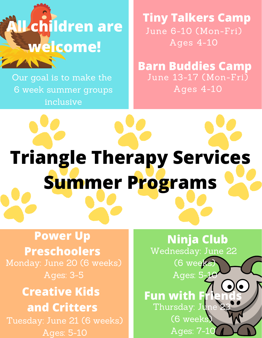# **All children are welcome!**

Our goal is to make the 6 week summer groups inclusive

June 6-10 (Mon-Fri) Ages 4-10 **Tiny Talkers Camp**

June 13-17 (Mon-Fri) Ages 4-10 **Barn Buddies Camp**

**Ninja Club**

Wednesday: June 22

(6 week

Ages: 5

**Fun** with **I** 

Thursday: Jun

(6 weeks)

Ages: 7-10

# **Triangle Therapy Services Summer Programs**

### Monday: June 20 (6 weeks) **Power Up Preschoolers**

Ages: 3-5

## **Creative Kids and Critters**

Tuesday: June 21 (6 weeks) Ages: 5-10